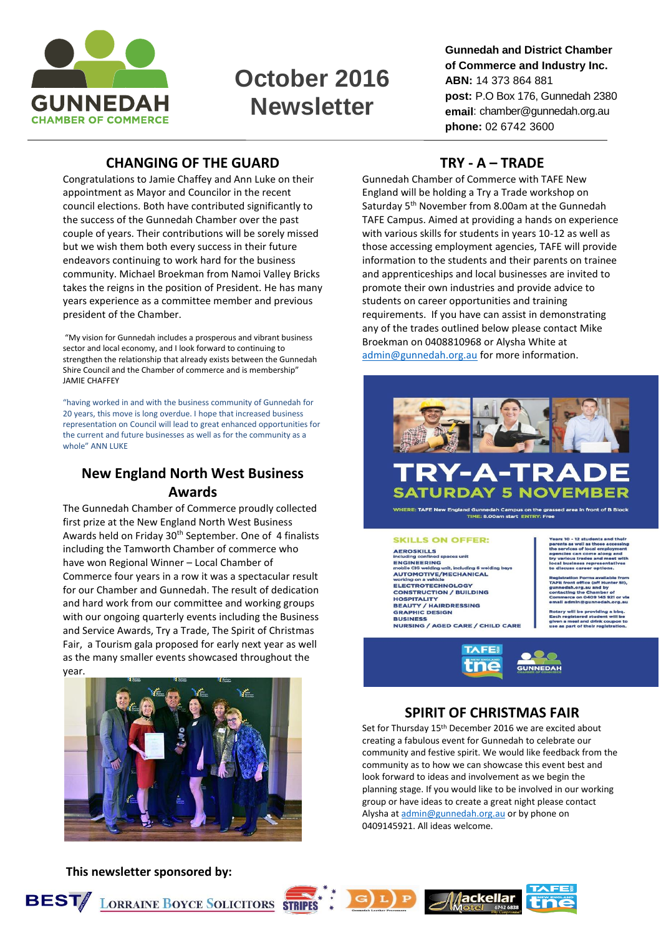

# **October 2016 Newsletter**

**Gunnedah and District Chamber of Commerce and Industry Inc. ABN:** 14 373 864 881 **post:** P.O Box 176, Gunnedah 2380 **email**: chamber@gunnedah.org.au **phone:** 02 6742 3600

## **CHANGING OF THE GUARD**

Congratulations to Jamie Chaffey and Ann Luke on their appointment as Mayor and Councilor in the recent council elections. Both have contributed significantly to the success of the Gunnedah Chamber over the past couple of years. Their contributions will be sorely missed but we wish them both every success in their future endeavors continuing to work hard for the business community. Michael Broekman from Namoi Valley Bricks takes the reigns in the position of President. He has many years experience as a committee member and previous president of the Chamber.

"My vision for Gunnedah includes a prosperous and vibrant business sector and local economy, and I look forward to continuing to strengthen the relationship that already exists between the Gunnedah Shire Council and the Chamber of commerce and is membership" JAMIE CHAFFEY

"having worked in and with the business community of Gunnedah for 20 years, this move is long overdue. I hope that increased business representation on Council will lead to great enhanced opportunities for the current and future businesses as well as for the community as a whole" ANN LUKE

## **New England North West Business Awards**

The Gunnedah Chamber of Commerce proudly collected first prize at the New England North West Business Awards held on Friday 30th September. One of 4 finalists including the Tamworth Chamber of commerce who have won Regional Winner – Local Chamber of Commerce four years in a row it was a spectacular result for our Chamber and Gunnedah. The result of dedication and hard work from our committee and working groups with our ongoing quarterly events including the Business and Service Awards, Try a Trade, The Spirit of Christmas Fair, a Tourism gala proposed for early next year as well as the many smaller events showcased throughout the year.



**This newsletter sponsored by:** 

#### **TRY - A – TRADE**

Gunnedah Chamber of Commerce with TAFE New England will be holding a Try a Trade workshop on Saturday 5<sup>th</sup> November from 8.00am at the Gunnedah TAFE Campus. Aimed at providing a hands on experience with various skills for students in years 10-12 as well as those accessing employment agencies, TAFE will provide information to the students and their parents on trainee and apprenticeships and local businesses are invited to promote their own industries and provide advice to students on career opportunities and training requirements. If you have can assist in demonstrating any of the trades outlined below please contact Mike Broekman on 0408810968 or Alysha White at [admin@gunnedah.org.au](mailto:admin@gunnedah.org.au) for more information.





lah Campus on the gras .<br>TME: 8.00am start ENTRY: Fr

**SKILLS ON OFFER: AEROSKILLS**<br>including confined spaces unit mentaling commercial paces and<br>ENGINEERING<br>AUTOMOTIVE/MECHANICAL ELECTROTECHNOLOGY ELECTROTECHNOLOGY<br>CONSTRUCTION / BUILDING<br>HOSPITALITY<br>BEAUTY / HAIRDRESSING<br>GRAPHIC DESIGN

**E: TAFF New F** 

**BUSINESS** NURSING / AGED CARE / CHILD CARE



#### **SPIRIT OF CHRISTMAS FAIR**

Set for Thursday 15<sup>th</sup> December 2016 we are excited about creating a fabulous event for Gunnedah to celebrate our community and festive spirit. We would like feedback from the community as to how we can showcase this event best and look forward to ideas and involvement as we begin the planning stage. If you would like to be involved in our working group or have ideas to create a great night please contact Alysha a[t admin@gunnedah.org.au](mailto:admin@gunnedah.org.au) or by phone on 0409145921. All ideas welcome.